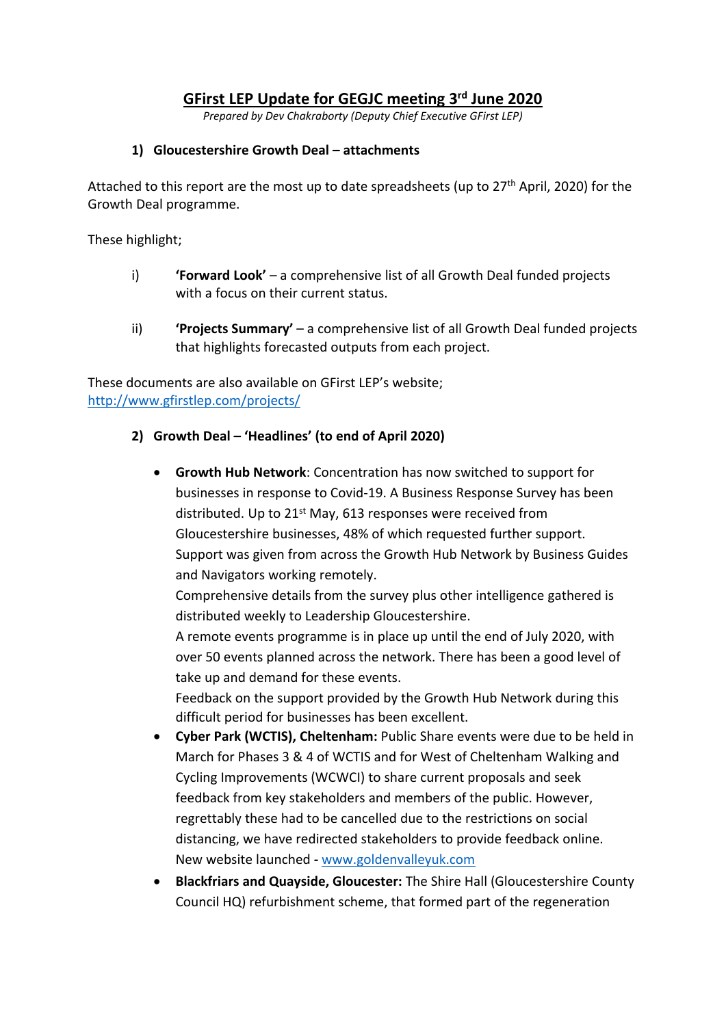## **GFirst LEP Update for GEGJC meeting 3 rd June 2020**

*Prepared by Dev Chakraborty (Deputy Chief Executive GFirst LEP)*

#### **1) Gloucestershire Growth Deal – attachments**

Attached to this report are the most up to date spreadsheets (up to 27<sup>th</sup> April, 2020) for the Growth Deal programme.

These highlight;

- i) **'Forward Look'** a comprehensive list of all Growth Deal funded projects with a focus on their current status.
- ii) **'Projects Summary'** a comprehensive list of all Growth Deal funded projects that highlights forecasted outputs from each project.

These documents are also available on GFirst LEP's website; <http://www.gfirstlep.com/projects/>

#### **2) Growth Deal – 'Headlines' (to end of April 2020)**

 **Growth Hub Network**: Concentration has now switched to support for businesses in response to Covid-19. A Business Response Survey has been distributed. Up to 21<sup>st</sup> May, 613 responses were received from Gloucestershire businesses, 48% of which requested further support. Support was given from across the Growth Hub Network by Business Guides and Navigators working remotely.

Comprehensive details from the survey plus other intelligence gathered is distributed weekly to Leadership Gloucestershire.

A remote events programme is in place up until the end of July 2020, with over 50 events planned across the network. There has been a good level of take up and demand for these events.

Feedback on the support provided by the Growth Hub Network during this difficult period for businesses has been excellent.

- **Cyber Park (WCTIS), Cheltenham:** Public Share events were due to be held in March for Phases 3 & 4 of WCTIS and for West of Cheltenham Walking and Cycling Improvements (WCWCI) to share current proposals and seek feedback from key stakeholders and members of the public. However, regrettably these had to be cancelled due to the restrictions on social distancing, we have redirected stakeholders to provide feedback online. New website launched **-** [www.goldenvalleyuk.com](http://www.goldenvalleyuk.com/)
- **Blackfriars and Quayside, Gloucester:** The Shire Hall (Gloucestershire County Council HQ) refurbishment scheme, that formed part of the regeneration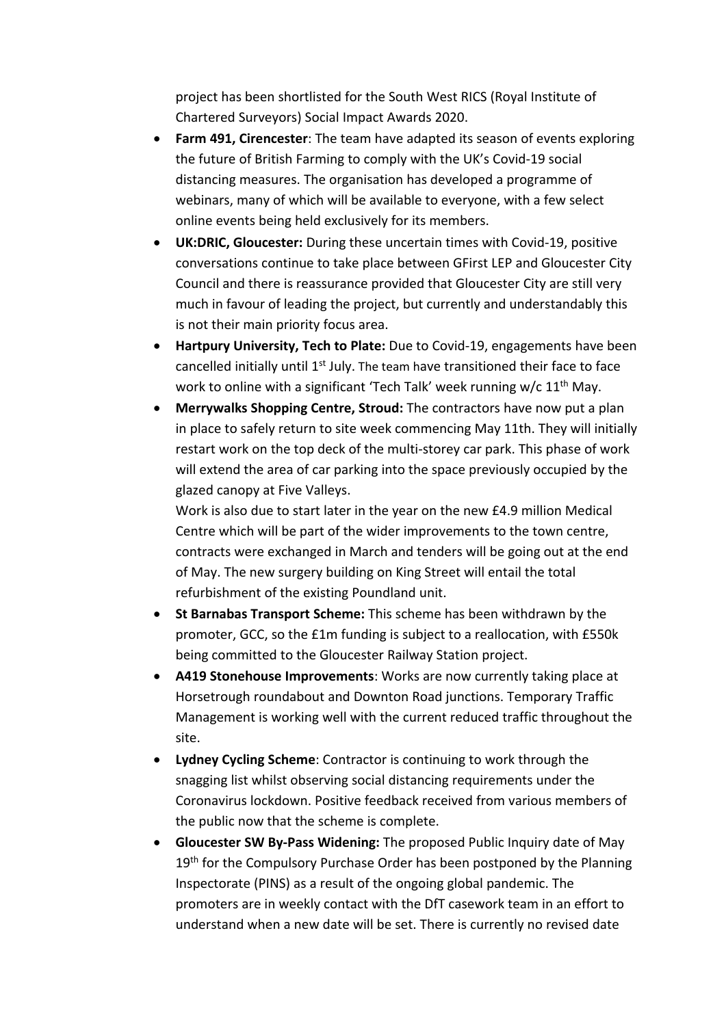project has been shortlisted for the South West RICS (Royal Institute of Chartered Surveyors) Social Impact Awards 2020.

- **Farm 491, Cirencester**: The team have adapted its season of events exploring the future of British Farming to comply with the UK's Covid-19 social distancing measures. The organisation has developed a programme of webinars, many of which will be available to everyone, with a few select online events being held exclusively for its members.
- **UK:DRIC, Gloucester:** During these uncertain times with Covid-19, positive conversations continue to take place between GFirst LEP and Gloucester City Council and there is reassurance provided that Gloucester City are still very much in favour of leading the project, but currently and understandably this is not their main priority focus area.
- **Hartpury University, Tech to Plate:** Due to Covid-19, engagements have been cancelled initially until 1<sup>st</sup> July. The team have transitioned their face to face work to online with a significant 'Tech Talk' week running w/c 11<sup>th</sup> May.
- **Merrywalks Shopping Centre, Stroud:** The contractors have now put a plan in place to safely return to site week commencing May 11th. They will initially restart work on the top deck of the multi-storey car park. This phase of work will extend the area of car parking into the space previously occupied by the glazed canopy at Five Valleys.

Work is also due to start later in the year on the new £4.9 million Medical Centre which will be part of the wider improvements to the town centre, contracts were exchanged in March and tenders will be going out at the end of May. The new surgery building on King Street will entail the total refurbishment of the existing Poundland unit.

- **St Barnabas Transport Scheme:** This scheme has been withdrawn by the promoter, GCC, so the £1m funding is subject to a reallocation, with £550k being committed to the Gloucester Railway Station project.
- **A419 Stonehouse Improvements**: Works are now currently taking place at Horsetrough roundabout and Downton Road junctions. Temporary Traffic Management is working well with the current reduced traffic throughout the site.
- **Lydney Cycling Scheme**: Contractor is continuing to work through the snagging list whilst observing social distancing requirements under the Coronavirus lockdown. Positive feedback received from various members of the public now that the scheme is complete.
- **Gloucester SW By-Pass Widening:** The proposed Public Inquiry date of May 19<sup>th</sup> for the Compulsory Purchase Order has been postponed by the Planning Inspectorate (PINS) as a result of the ongoing global pandemic. The promoters are in weekly contact with the DfT casework team in an effort to understand when a new date will be set. There is currently no revised date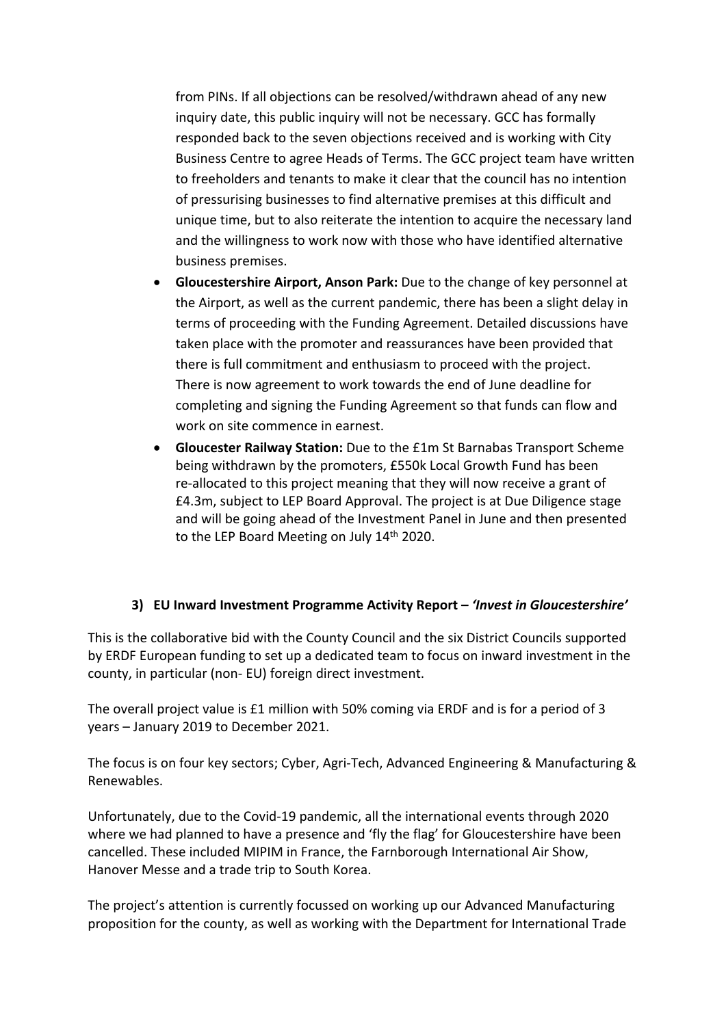from PINs. If all objections can be resolved/withdrawn ahead of any new inquiry date, this public inquiry will not be necessary. GCC has formally responded back to the seven objections received and is working with City Business Centre to agree Heads of Terms. The GCC project team have written to freeholders and tenants to make it clear that the council has no intention of pressurising businesses to find alternative premises at this difficult and unique time, but to also reiterate the intention to acquire the necessary land and the willingness to work now with those who have identified alternative business premises.

- **Gloucestershire Airport, Anson Park:** Due to the change of key personnel at the Airport, as well as the current pandemic, there has been a slight delay in terms of proceeding with the Funding Agreement. Detailed discussions have taken place with the promoter and reassurances have been provided that there is full commitment and enthusiasm to proceed with the project. There is now agreement to work towards the end of June deadline for completing and signing the Funding Agreement so that funds can flow and work on site commence in earnest.
- **Gloucester Railway Station:** Due to the £1m St Barnabas Transport Scheme being withdrawn by the promoters, £550k Local Growth Fund has been re-allocated to this project meaning that they will now receive a grant of £4.3m, subject to LEP Board Approval. The project is at Due Diligence stage and will be going ahead of the Investment Panel in June and then presented to the LEP Board Meeting on July 14<sup>th</sup> 2020.

### **3) EU Inward Investment Programme Activity Report –** *'Invest in Gloucestershire'*

This is the collaborative bid with the County Council and the six District Councils supported by ERDF European funding to set up a dedicated team to focus on inward investment in the county, in particular (non- EU) foreign direct investment.

The overall project value is £1 million with 50% coming via ERDF and is for a period of 3 years – January 2019 to December 2021.

The focus is on four key sectors; Cyber, Agri-Tech, Advanced Engineering & Manufacturing & Renewables.

Unfortunately, due to the Covid-19 pandemic, all the international events through 2020 where we had planned to have a presence and 'fly the flag' for Gloucestershire have been cancelled. These included MIPIM in France, the Farnborough International Air Show, Hanover Messe and a trade trip to South Korea.

The project's attention is currently focussed on working up our Advanced Manufacturing proposition for the county, as well as working with the Department for International Trade